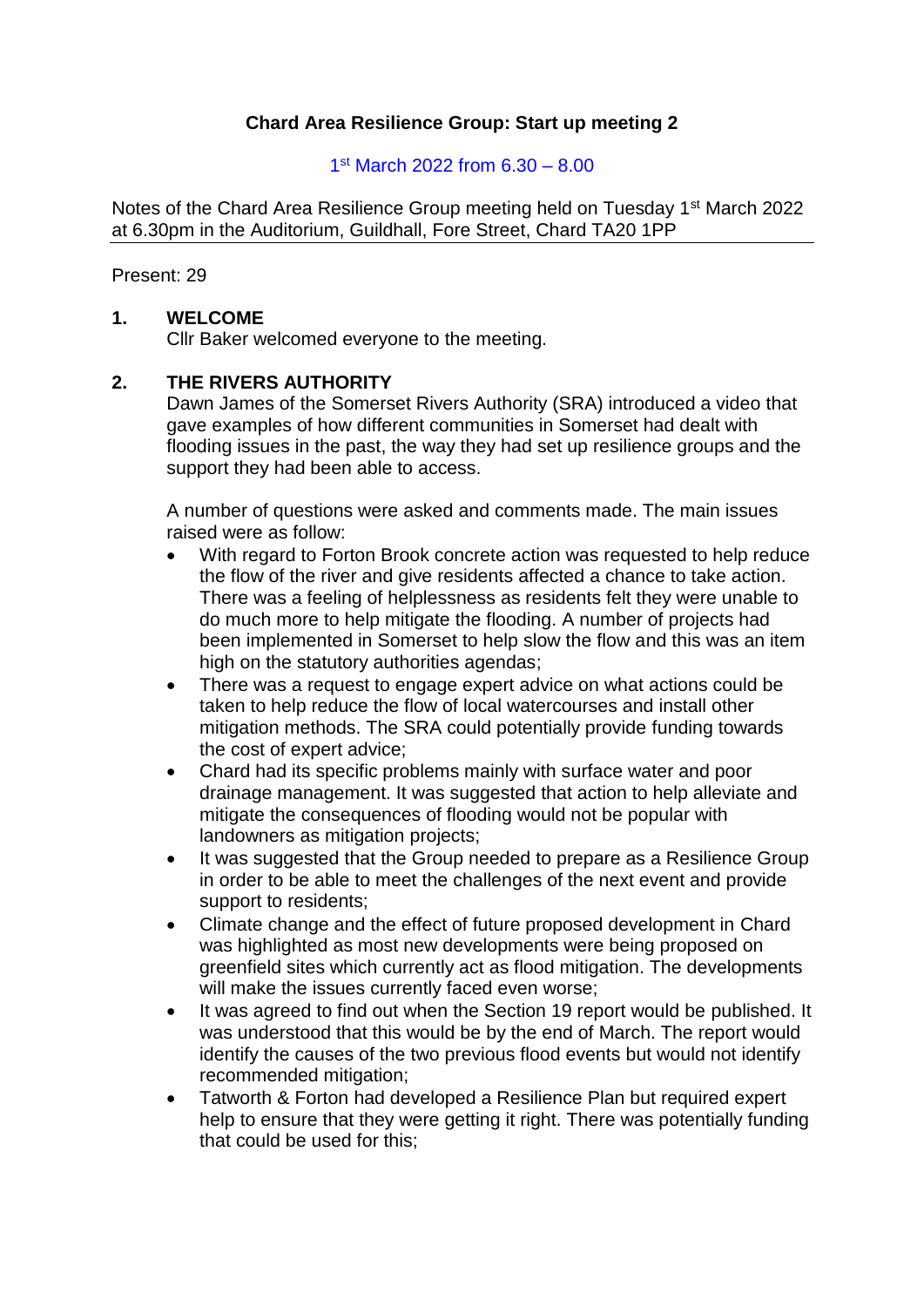# **Chard Area Resilience Group: Start up meeting 2**

1 st March 2022 from 6.30 – 8.00

Notes of the Chard Area Resilience Group meeting held on Tuesday 1<sup>st</sup> March 2022 at 6.30pm in the Auditorium, Guildhall, Fore Street, Chard TA20 1PP

Present: 29

# **1. WELCOME**

Cllr Baker welcomed everyone to the meeting.

## **2. THE RIVERS AUTHORITY**

Dawn James of the Somerset Rivers Authority (SRA) introduced a video that gave examples of how different communities in Somerset had dealt with flooding issues in the past, the way they had set up resilience groups and the support they had been able to access.

A number of questions were asked and comments made. The main issues raised were as follow:

- With regard to Forton Brook concrete action was requested to help reduce the flow of the river and give residents affected a chance to take action. There was a feeling of helplessness as residents felt they were unable to do much more to help mitigate the flooding. A number of projects had been implemented in Somerset to help slow the flow and this was an item high on the statutory authorities agendas;
- There was a request to engage expert advice on what actions could be taken to help reduce the flow of local watercourses and install other mitigation methods. The SRA could potentially provide funding towards the cost of expert advice;
- Chard had its specific problems mainly with surface water and poor drainage management. It was suggested that action to help alleviate and mitigate the consequences of flooding would not be popular with landowners as mitigation projects;
- It was suggested that the Group needed to prepare as a Resilience Group in order to be able to meet the challenges of the next event and provide support to residents;
- Climate change and the effect of future proposed development in Chard was highlighted as most new developments were being proposed on greenfield sites which currently act as flood mitigation. The developments will make the issues currently faced even worse;
- It was agreed to find out when the Section 19 report would be published. It was understood that this would be by the end of March. The report would identify the causes of the two previous flood events but would not identify recommended mitigation;
- Tatworth & Forton had developed a Resilience Plan but required expert help to ensure that they were getting it right. There was potentially funding that could be used for this;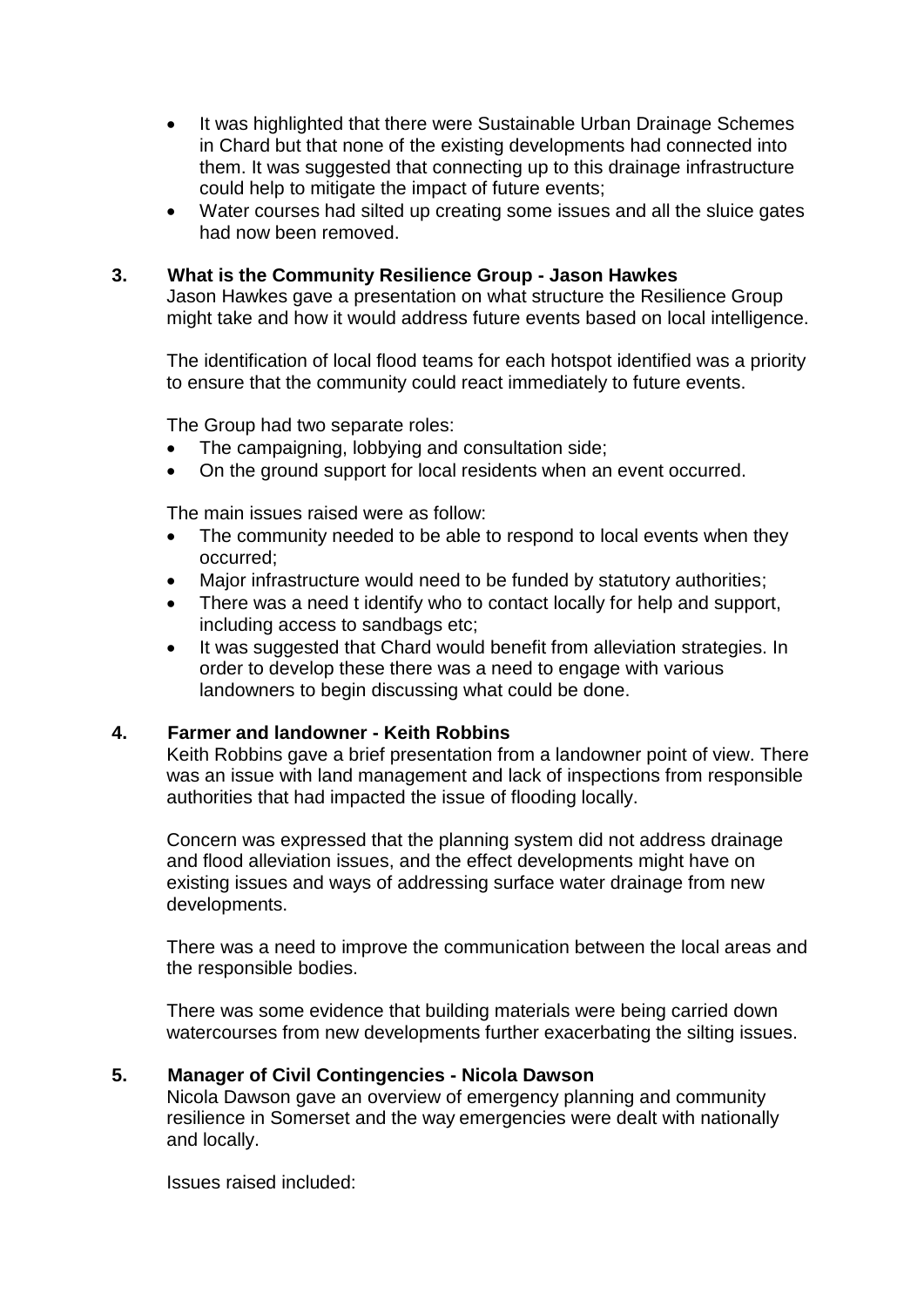- It was highlighted that there were Sustainable Urban Drainage Schemes in Chard but that none of the existing developments had connected into them. It was suggested that connecting up to this drainage infrastructure could help to mitigate the impact of future events;
- Water courses had silted up creating some issues and all the sluice gates had now been removed.

### **3. What is the Community Resilience Group - Jason Hawkes**

Jason Hawkes gave a presentation on what structure the Resilience Group might take and how it would address future events based on local intelligence.

The identification of local flood teams for each hotspot identified was a priority to ensure that the community could react immediately to future events.

The Group had two separate roles:

- The campaigning, lobbying and consultation side;
- On the ground support for local residents when an event occurred.

The main issues raised were as follow:

- The community needed to be able to respond to local events when they occurred;
- Major infrastructure would need to be funded by statutory authorities;
- There was a need t identify who to contact locally for help and support, including access to sandbags etc;
- It was suggested that Chard would benefit from alleviation strategies. In order to develop these there was a need to engage with various landowners to begin discussing what could be done.

#### **4. Farmer and landowner - Keith Robbins**

Keith Robbins gave a brief presentation from a landowner point of view. There was an issue with land management and lack of inspections from responsible authorities that had impacted the issue of flooding locally.

Concern was expressed that the planning system did not address drainage and flood alleviation issues, and the effect developments might have on existing issues and ways of addressing surface water drainage from new developments.

There was a need to improve the communication between the local areas and the responsible bodies.

There was some evidence that building materials were being carried down watercourses from new developments further exacerbating the silting issues.

#### **5. Manager of Civil Contingencies - Nicola Dawson**

Nicola Dawson gave an overview of emergency planning and community resilience in Somerset and the way emergencies were dealt with nationally and locally.

Issues raised included: